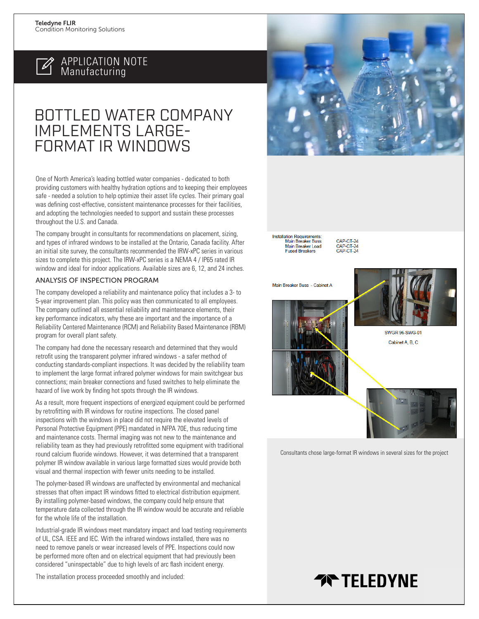

### APPLICATION NOTE Manufacturing

## BOTTLED WATER COMPANY IMPLEMENTS LARGE-FORMAT IR WINDOWS

One of North America's leading bottled water companies - dedicated to both providing customers with healthy hydration options and to keeping their employees safe - needed a solution to help optimize their asset life cycles. Their primary goal was defining cost-effective, consistent maintenance processes for their facilities, and adopting the technologies needed to support and sustain these processes throughout the U.S. and Canada.

The company brought in consultants for recommendations on placement, sizing, and types of infrared windows to be installed at the Ontario, Canada facility. After an initial site survey, the consultants recommended the IRW-xPC series in various sizes to complete this project. The IRW-xPC series is a NEMA 4 / IP65 rated IR window and ideal for indoor applications. Available sizes are 6, 12, and 24 inches.

#### ANALYSIS OF INSPECTION PROGRAM

The company developed a reliability and maintenance policy that includes a 3- to 5-year improvement plan. This policy was then communicated to all employees. The company outlined all essential reliability and maintenance elements, their key performance indicators, why these are important and the importance of a Reliability Centered Maintenance (RCM) and Reliability Based Maintenance (RBM) program for overall plant safety.

The company had done the necessary research and determined that they would retrofit using the transparent polymer infrared windows - a safer method of conducting standards-compliant inspections. It was decided by the reliability team to implement the large format infrared polymer windows for main switchgear bus connections; main breaker connections and fused switches to help eliminate the hazard of live work by finding hot spots through the IR windows.

As a result, more frequent inspections of energized equipment could be performed by retrofitting with IR windows for routine inspections. The closed panel inspections with the windows in place did not require the elevated levels of Personal Protective Equipment (PPE) mandated in NFPA 70E, thus reducing time and maintenance costs. Thermal imaging was not new to the maintenance and reliability team as they had previously retrofitted some equipment with traditional round calcium fluoride windows. However, it was determined that a transparent polymer IR window available in various large formatted sizes would provide both visual and thermal inspection with fewer units needing to be installed.

The polymer-based IR windows are unaffected by environmental and mechanical stresses that often impact IR windows fitted to electrical distribution equipment. By installing polymer-based windows, the company could help ensure that temperature data collected through the IR window would be accurate and reliable for the whole life of the installation.

Industrial-grade IR windows meet mandatory impact and load testing requirements of UL, CSA. IEEE and IEC. With the infrared windows installed, there was no need to remove panels or wear increased levels of PPE. Inspections could now be performed more often and on electrical equipment that had previously been considered "uninspectable" due to high levels of arc flash incident energy.





Installation Requirements:<br>Main Breaker Buss<br>Main Breaker Load **Fused Breakers** 

CAP-CT-24<br>CAP-CT-24<br>CAP-CT-24







**SWGR 96-SWG-01** Cabinet A, B, C

Consultants chose large-format IR windows in several sizes for the project